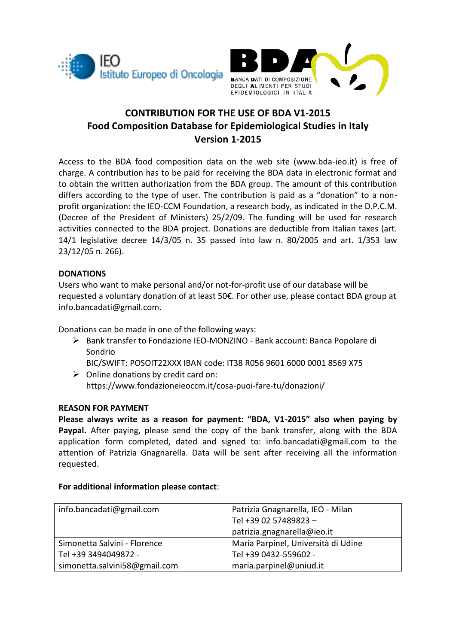



# **CONTRIBUTION FOR THE USE OF BDA V1-2015 Food Composition Database for Epidemiological Studies in Italy Version 1-2015**

Access to the BDA food composition data on the web site (www.bda-ieo.it) is free of charge. A contribution has to be paid for receiving the BDA data in electronic format and to obtain the written authorization from the BDA group. The amount of this contribution differs according to the type of user. The contribution is paid as a "donation" to a nonprofit organization: the IEO-CCM Foundation, a research body, as indicated in the D.P.C.M. (Decree of the President of Ministers) 25/2/09. The funding will be used for research activities connected to the BDA project. Donations are deductible from Italian taxes (art. 14/1 legislative decree 14/3/05 n. 35 passed into law n. 80/2005 and art. 1/353 law 23/12/05 n. 266).

## **DONATIONS**

Users who want to make personal and/or not-for-profit use of our database will be requested a voluntary donation of at least 50€. For other use, please contact BDA group at info.bancadati@gmail.com.

Donations can be made in one of the following ways:

 Bank transfer to Fondazione IEO-MONZINO - Bank account: Banca Popolare di Sondrio

BIC/SWIFT: POSOIT22XXX IBAN code: IT38 R056 9601 6000 0001 8569 X75

 $\triangleright$  Online donations by credit card on: https://www.fondazioneieoccm.it/cosa-puoi-fare-tu/donazioni/

### **REASON FOR PAYMENT**

**Please always write as a reason for payment: "BDA, V1-2015" also when paying by Paypal.** After paying, please send the copy of the bank transfer, along with the BDA application form completed, dated and signed to: info.bancadati@gmail.com to the attention of Patrizia Gnagnarella. Data will be sent after receiving all the information requested.

### **For additional information please contact**:

| info.bancadati@gmail.com      | Patrizia Gnagnarella, IEO - Milan   |  |
|-------------------------------|-------------------------------------|--|
|                               | Tel +39 02 57489823 -               |  |
|                               | patrizia.gnagnarella@ieo.it         |  |
| Simonetta Salvini - Florence  | Maria Parpinel, Università di Udine |  |
| Tel +39 3494049872 -          | Tel +39 0432-559602 -               |  |
| simonetta.salvini58@gmail.com | maria.parpinel@uniud.it             |  |